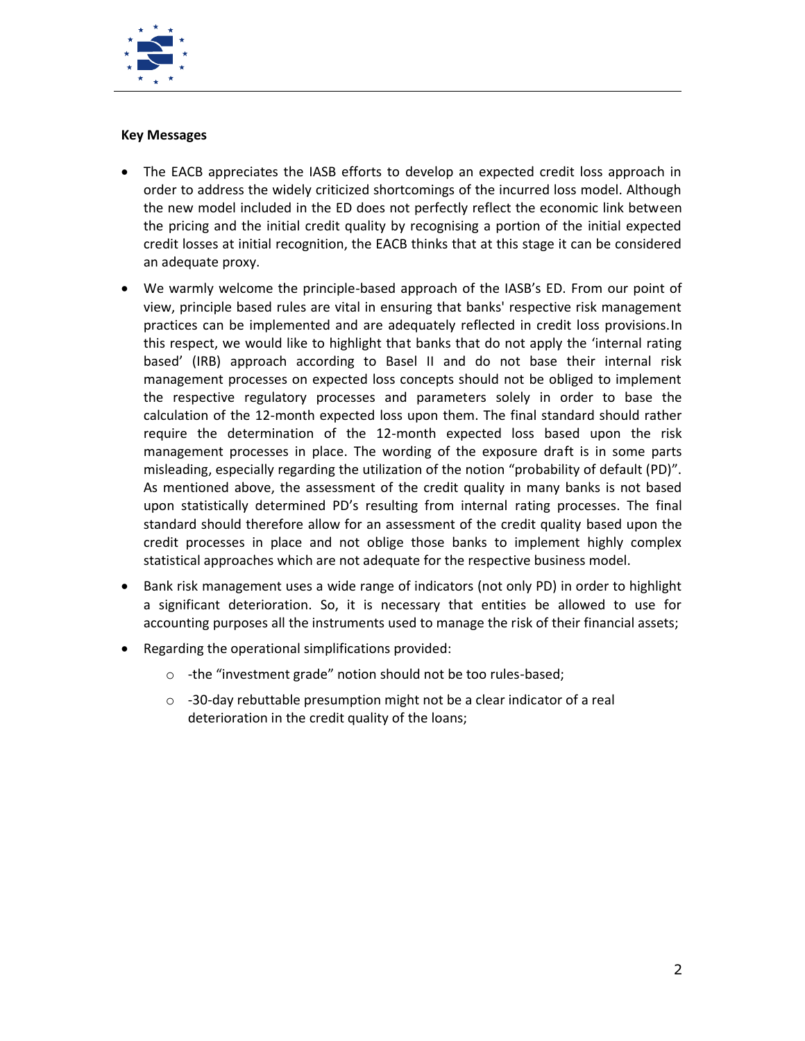

## **Key Messages**

- The EACB appreciates the IASB efforts to develop an expected credit loss approach in order to address the widely criticized shortcomings of the incurred loss model. Although the new model included in the ED does not perfectly reflect the economic link between the pricing and the initial credit quality by recognising a portion of the initial expected credit losses at initial recognition, the EACB thinks that at this stage it can be considered an adequate proxy.
- We warmly welcome the principle-based approach of the IASB's ED. From our point of view, principle based rules are vital in ensuring that banks' respective risk management practices can be implemented and are adequately reflected in credit loss provisions.In this respect, we would like to highlight that banks that do not apply the 'internal rating based' (IRB) approach according to Basel II and do not base their internal risk management processes on expected loss concepts should not be obliged to implement the respective regulatory processes and parameters solely in order to base the calculation of the 12-month expected loss upon them. The final standard should rather require the determination of the 12-month expected loss based upon the risk management processes in place. The wording of the exposure draft is in some parts misleading, especially regarding the utilization of the notion "probability of default (PD)". As mentioned above, the assessment of the credit quality in many banks is not based upon statistically determined PD's resulting from internal rating processes. The final standard should therefore allow for an assessment of the credit quality based upon the credit processes in place and not oblige those banks to implement highly complex statistical approaches which are not adequate for the respective business model.
- Bank risk management uses a wide range of indicators (not only PD) in order to highlight a significant deterioration. So, it is necessary that entities be allowed to use for accounting purposes all the instruments used to manage the risk of their financial assets;
- Regarding the operational simplifications provided:
	- o -the "investment grade" notion should not be too rules-based;
	- o -30-day rebuttable presumption might not be a clear indicator of a real deterioration in the credit quality of the loans;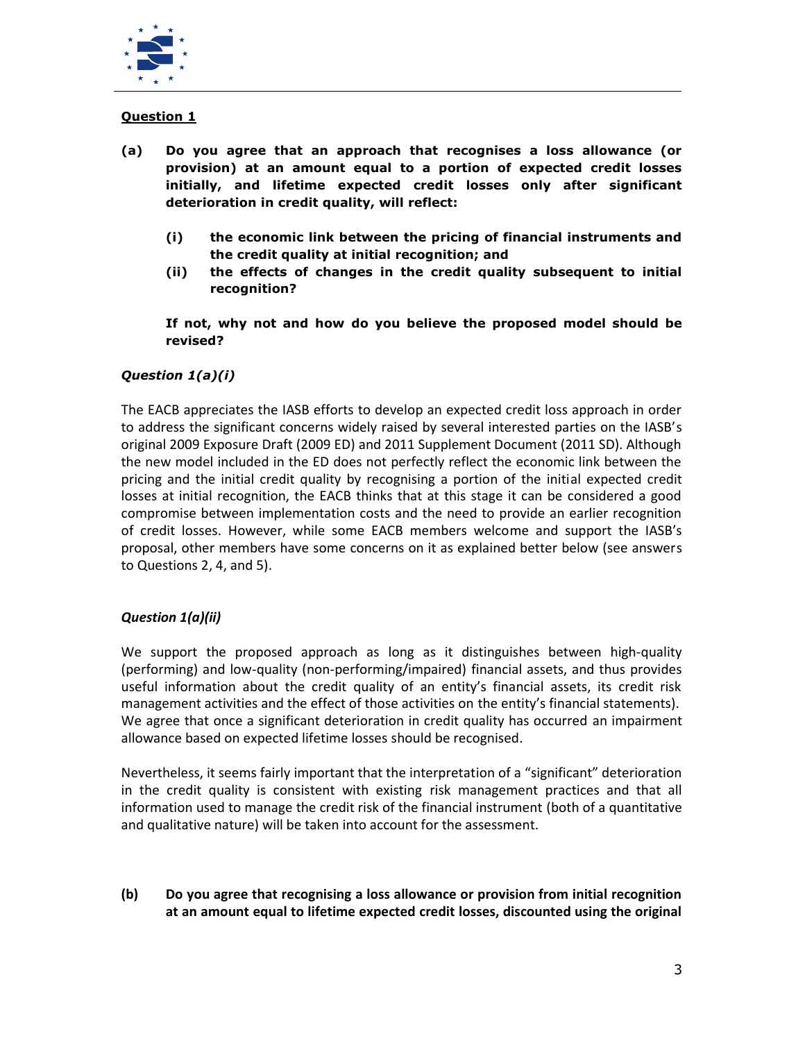

# **Question 1**

- **(a) Do you agree that an approach that recognises a loss allowance (or provision) at an amount equal to a portion of expected credit losses initially, and lifetime expected credit losses only after significant deterioration in credit quality, will reflect:**
	- **(i) the economic link between the pricing of financial instruments and the credit quality at initial recognition; and**
	- **(ii) the effects of changes in the credit quality subsequent to initial recognition?**

**If not, why not and how do you believe the proposed model should be revised?**

## *Question 1(a)(i)*

The EACB appreciates the IASB efforts to develop an expected credit loss approach in order to address the significant concerns widely raised by several interested parties on the IASB's original 2009 Exposure Draft (2009 ED) and 2011 Supplement Document (2011 SD). Although the new model included in the ED does not perfectly reflect the economic link between the pricing and the initial credit quality by recognising a portion of the initial expected credit losses at initial recognition, the EACB thinks that at this stage it can be considered a good compromise between implementation costs and the need to provide an earlier recognition of credit losses. However, while some EACB members welcome and support the IASB's proposal, other members have some concerns on it as explained better below (see answers to Questions 2, 4, and 5).

## *Question 1(a)(ii)*

We support the proposed approach as long as it distinguishes between high-quality (performing) and low-quality (non-performing/impaired) financial assets, and thus provides useful information about the credit quality of an entity's financial assets, its credit risk management activities and the effect of those activities on the entity's financial statements). We agree that once a significant deterioration in credit quality has occurred an impairment allowance based on expected lifetime losses should be recognised.

Nevertheless, it seems fairly important that the interpretation of a "significant" deterioration in the credit quality is consistent with existing risk management practices and that all information used to manage the credit risk of the financial instrument (both of a quantitative and qualitative nature) will be taken into account for the assessment.

**(b) Do you agree that recognising a loss allowance or provision from initial recognition at an amount equal to lifetime expected credit losses, discounted using the original**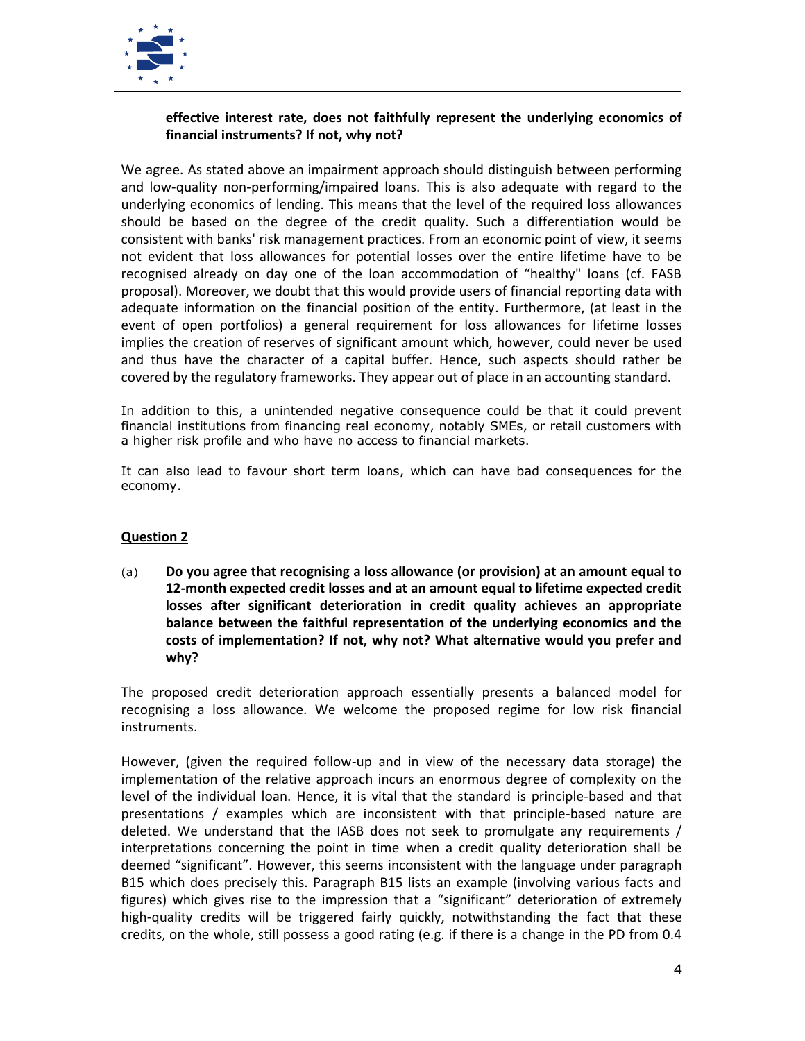

## **effective interest rate, does not faithfully represent the underlying economics of financial instruments? If not, why not?**

We agree. As stated above an impairment approach should distinguish between performing and low-quality non-performing/impaired loans. This is also adequate with regard to the underlying economics of lending. This means that the level of the required loss allowances should be based on the degree of the credit quality. Such a differentiation would be consistent with banks' risk management practices. From an economic point of view, it seems not evident that loss allowances for potential losses over the entire lifetime have to be recognised already on day one of the loan accommodation of "healthy" loans (cf. FASB proposal). Moreover, we doubt that this would provide users of financial reporting data with adequate information on the financial position of the entity. Furthermore, (at least in the event of open portfolios) a general requirement for loss allowances for lifetime losses implies the creation of reserves of significant amount which, however, could never be used and thus have the character of a capital buffer. Hence, such aspects should rather be covered by the regulatory frameworks. They appear out of place in an accounting standard.

In addition to this, a unintended negative consequence could be that it could prevent financial institutions from financing real economy, notably SMEs, or retail customers with a higher risk profile and who have no access to financial markets.

It can also lead to favour short term loans, which can have bad consequences for the economy.

## **Question 2**

(a) **Do you agree that recognising a loss allowance (or provision) at an amount equal to 12-month expected credit losses and at an amount equal to lifetime expected credit losses after significant deterioration in credit quality achieves an appropriate balance between the faithful representation of the underlying economics and the costs of implementation? If not, why not? What alternative would you prefer and why?**

The proposed credit deterioration approach essentially presents a balanced model for recognising a loss allowance. We welcome the proposed regime for low risk financial instruments.

However, (given the required follow-up and in view of the necessary data storage) the implementation of the relative approach incurs an enormous degree of complexity on the level of the individual loan. Hence, it is vital that the standard is principle-based and that presentations / examples which are inconsistent with that principle-based nature are deleted. We understand that the IASB does not seek to promulgate any requirements / interpretations concerning the point in time when a credit quality deterioration shall be deemed "significant". However, this seems inconsistent with the language under paragraph B15 which does precisely this. Paragraph B15 lists an example (involving various facts and figures) which gives rise to the impression that a "significant" deterioration of extremely high-quality credits will be triggered fairly quickly, notwithstanding the fact that these credits, on the whole, still possess a good rating (e.g. if there is a change in the PD from 0.4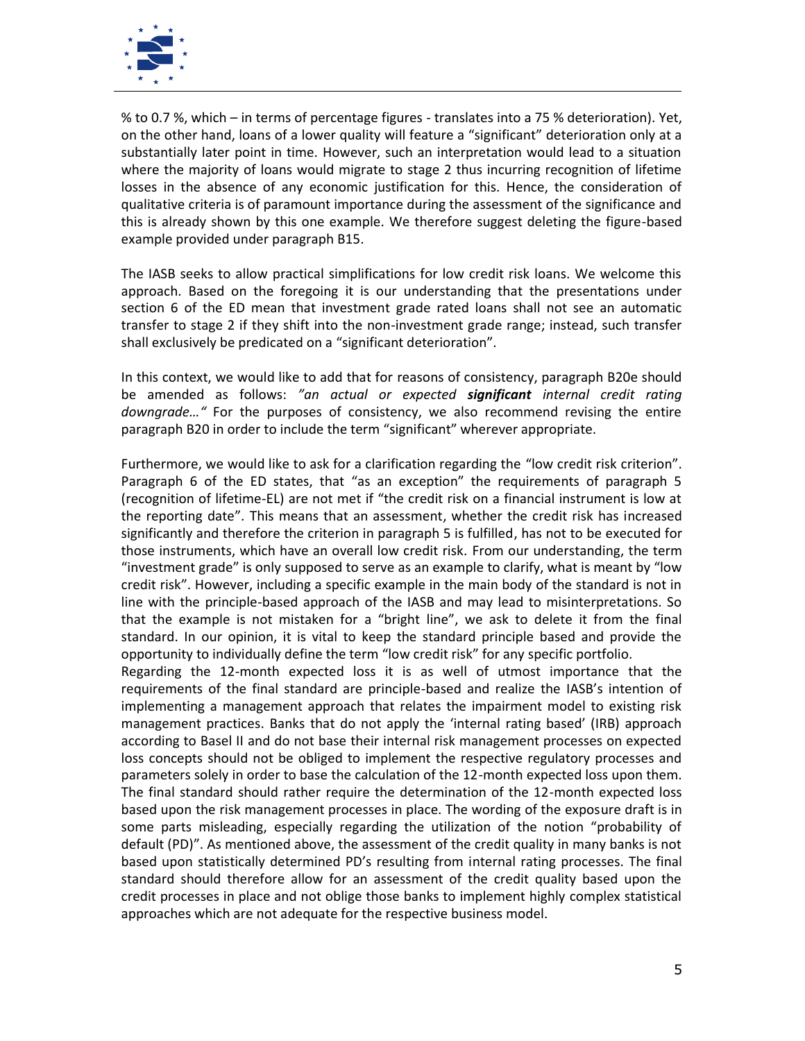

% to 0.7 %, which – in terms of percentage figures - translates into a 75 % deterioration). Yet, on the other hand, loans of a lower quality will feature a "significant" deterioration only at a substantially later point in time. However, such an interpretation would lead to a situation where the majority of loans would migrate to stage 2 thus incurring recognition of lifetime losses in the absence of any economic justification for this. Hence, the consideration of qualitative criteria is of paramount importance during the assessment of the significance and this is already shown by this one example. We therefore suggest deleting the figure-based example provided under paragraph B15.

The IASB seeks to allow practical simplifications for low credit risk loans. We welcome this approach. Based on the foregoing it is our understanding that the presentations under section 6 of the ED mean that investment grade rated loans shall not see an automatic transfer to stage 2 if they shift into the non-investment grade range; instead, such transfer shall exclusively be predicated on a "significant deterioration".

In this context, we would like to add that for reasons of consistency, paragraph B20e should be amended as follows: *"an actual or expected significant internal credit rating downgrade…"* For the purposes of consistency, we also recommend revising the entire paragraph B20 in order to include the term "significant" wherever appropriate.

Furthermore, we would like to ask for a clarification regarding the "low credit risk criterion". Paragraph 6 of the ED states, that "as an exception" the requirements of paragraph 5 (recognition of lifetime-EL) are not met if "the credit risk on a financial instrument is low at the reporting date". This means that an assessment, whether the credit risk has increased significantly and therefore the criterion in paragraph 5 is fulfilled, has not to be executed for those instruments, which have an overall low credit risk. From our understanding, the term "investment grade" is only supposed to serve as an example to clarify, what is meant by "low credit risk". However, including a specific example in the main body of the standard is not in line with the principle-based approach of the IASB and may lead to misinterpretations. So that the example is not mistaken for a "bright line", we ask to delete it from the final standard. In our opinion, it is vital to keep the standard principle based and provide the opportunity to individually define the term "low credit risk" for any specific portfolio.

Regarding the 12-month expected loss it is as well of utmost importance that the requirements of the final standard are principle-based and realize the IASB's intention of implementing a management approach that relates the impairment model to existing risk management practices. Banks that do not apply the 'internal rating based' (IRB) approach according to Basel II and do not base their internal risk management processes on expected loss concepts should not be obliged to implement the respective regulatory processes and parameters solely in order to base the calculation of the 12-month expected loss upon them. The final standard should rather require the determination of the 12-month expected loss based upon the risk management processes in place. The wording of the exposure draft is in some parts misleading, especially regarding the utilization of the notion "probability of default (PD)". As mentioned above, the assessment of the credit quality in many banks is not based upon statistically determined PD's resulting from internal rating processes. The final standard should therefore allow for an assessment of the credit quality based upon the credit processes in place and not oblige those banks to implement highly complex statistical approaches which are not adequate for the respective business model.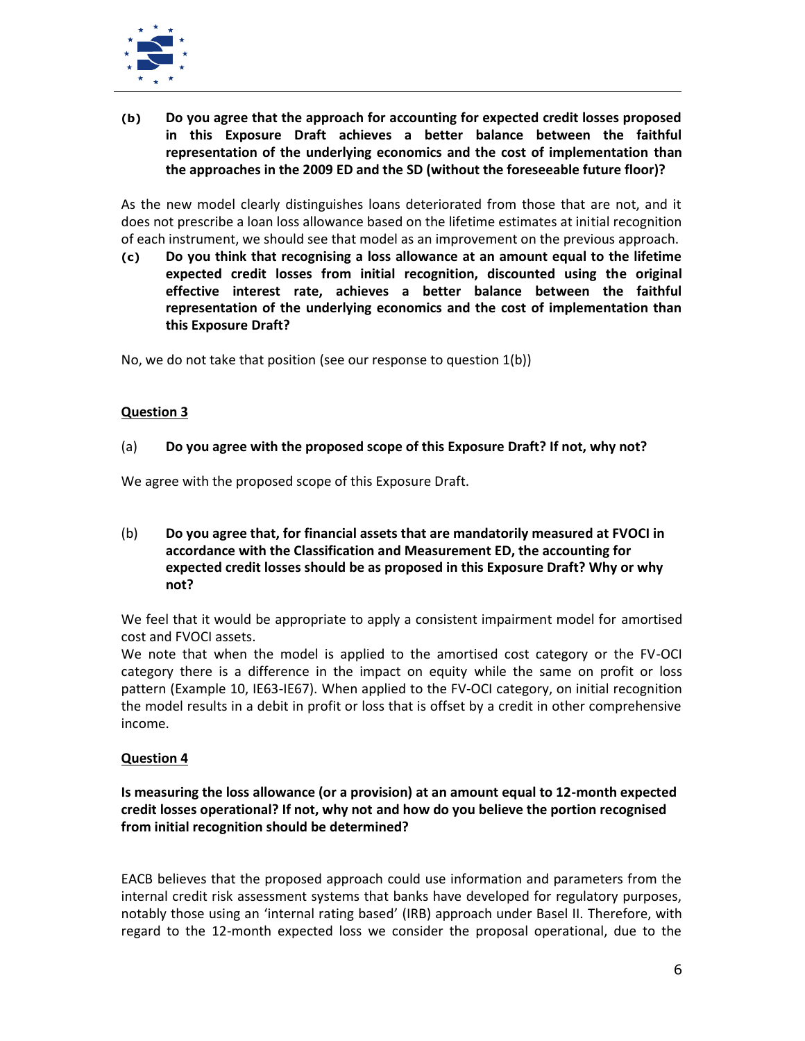

**(b) Do you agree that the approach for accounting for expected credit losses proposed in this Exposure Draft achieves a better balance between the faithful representation of the underlying economics and the cost of implementation than the approaches in the 2009 ED and the SD (without the foreseeable future floor)?**

As the new model clearly distinguishes loans deteriorated from those that are not, and it does not prescribe a loan loss allowance based on the lifetime estimates at initial recognition of each instrument, we should see that model as an improvement on the previous approach.

**(c) Do you think that recognising a loss allowance at an amount equal to the lifetime expected credit losses from initial recognition, discounted using the original effective interest rate, achieves a better balance between the faithful representation of the underlying economics and the cost of implementation than this Exposure Draft?**

No, we do not take that position (see our response to question 1(b))

## **Question 3**

## (a) **Do you agree with the proposed scope of this Exposure Draft? If not, why not?**

We agree with the proposed scope of this Exposure Draft.

(b) **Do you agree that, for financial assets that are mandatorily measured at FVOCI in accordance with the Classification and Measurement ED, the accounting for expected credit losses should be as proposed in this Exposure Draft? Why or why not?**

We feel that it would be appropriate to apply a consistent impairment model for amortised cost and FVOCI assets.

We note that when the model is applied to the amortised cost category or the FV-OCI category there is a difference in the impact on equity while the same on profit or loss pattern (Example 10, IE63-IE67). When applied to the FV-OCI category, on initial recognition the model results in a debit in profit or loss that is offset by a credit in other comprehensive income.

## **Question 4**

## **Is measuring the loss allowance (or a provision) at an amount equal to 12-month expected credit losses operational? If not, why not and how do you believe the portion recognised from initial recognition should be determined?**

EACB believes that the proposed approach could use information and parameters from the internal credit risk assessment systems that banks have developed for regulatory purposes, notably those using an 'internal rating based' (IRB) approach under Basel II. Therefore, with regard to the 12-month expected loss we consider the proposal operational, due to the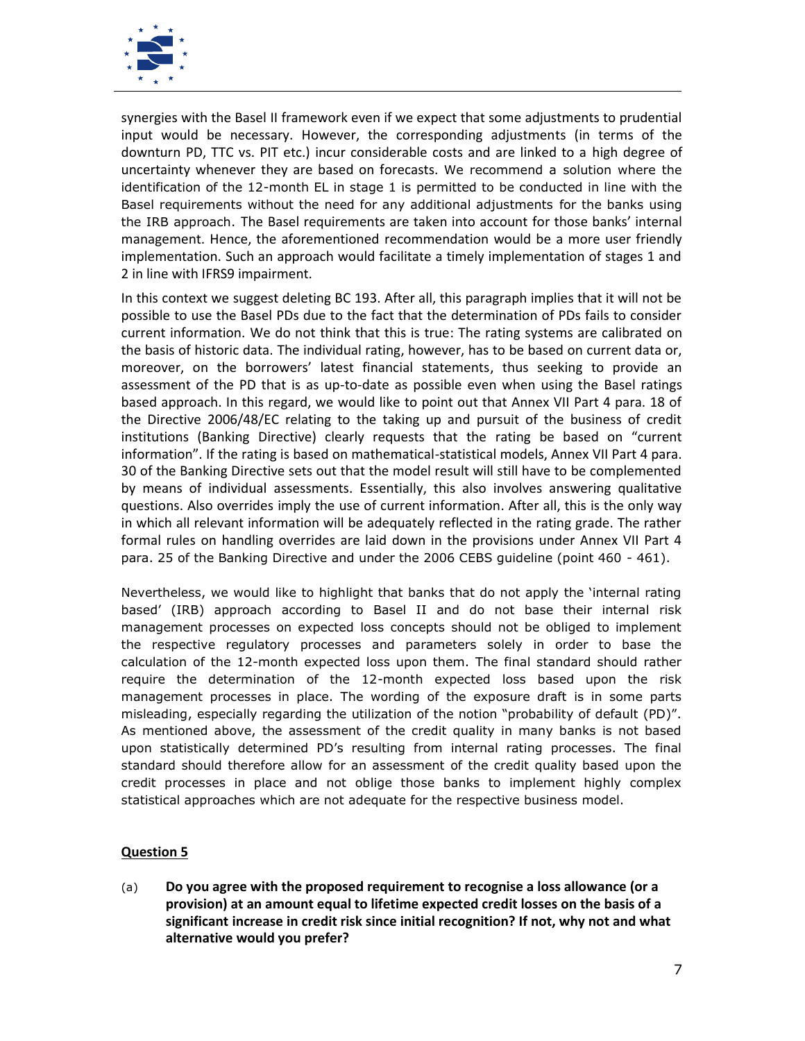

synergies with the Basel II framework even if we expect that some adjustments to prudential input would be necessary. However, the corresponding adjustments (in terms of the downturn PD, TTC vs. PIT etc.) incur considerable costs and are linked to a high degree of uncertainty whenever they are based on forecasts. We recommend a solution where the identification of the 12-month EL in stage 1 is permitted to be conducted in line with the Basel requirements without the need for any additional adjustments for the banks using the IRB approach. The Basel requirements are taken into account for those banks' internal management. Hence, the aforementioned recommendation would be a more user friendly implementation. Such an approach would facilitate a timely implementation of stages 1 and 2 in line with IFRS9 impairment.

In this context we suggest deleting BC 193. After all, this paragraph implies that it will not be possible to use the Basel PDs due to the fact that the determination of PDs fails to consider current information. We do not think that this is true: The rating systems are calibrated on the basis of historic data. The individual rating, however, has to be based on current data or, moreover, on the borrowers' latest financial statements, thus seeking to provide an assessment of the PD that is as up-to-date as possible even when using the Basel ratings based approach. In this regard, we would like to point out that Annex VII Part 4 para. 18 of the Directive 2006/48/EC relating to the taking up and pursuit of the business of credit institutions (Banking Directive) clearly requests that the rating be based on "current information". If the rating is based on mathematical-statistical models, Annex VII Part 4 para. 30 of the Banking Directive sets out that the model result will still have to be complemented by means of individual assessments. Essentially, this also involves answering qualitative questions. Also overrides imply the use of current information. After all, this is the only way in which all relevant information will be adequately reflected in the rating grade. The rather formal rules on handling overrides are laid down in the provisions under Annex VII Part 4 para. 25 of the Banking Directive and under the 2006 CEBS guideline (point 460 - 461).

Nevertheless, we would like to highlight that banks that do not apply the 'internal rating based' (IRB) approach according to Basel II and do not base their internal risk management processes on expected loss concepts should not be obliged to implement the respective regulatory processes and parameters solely in order to base the calculation of the 12-month expected loss upon them. The final standard should rather require the determination of the 12-month expected loss based upon the risk management processes in place. The wording of the exposure draft is in some parts misleading, especially regarding the utilization of the notion "probability of default (PD)". As mentioned above, the assessment of the credit quality in many banks is not based upon statistically determined PD's resulting from internal rating processes. The final standard should therefore allow for an assessment of the credit quality based upon the credit processes in place and not oblige those banks to implement highly complex statistical approaches which are not adequate for the respective business model.

## **Question 5**

(a) **Do you agree with the proposed requirement to recognise a loss allowance (or a provision) at an amount equal to lifetime expected credit losses on the basis of a significant increase in credit risk since initial recognition? If not, why not and what alternative would you prefer?**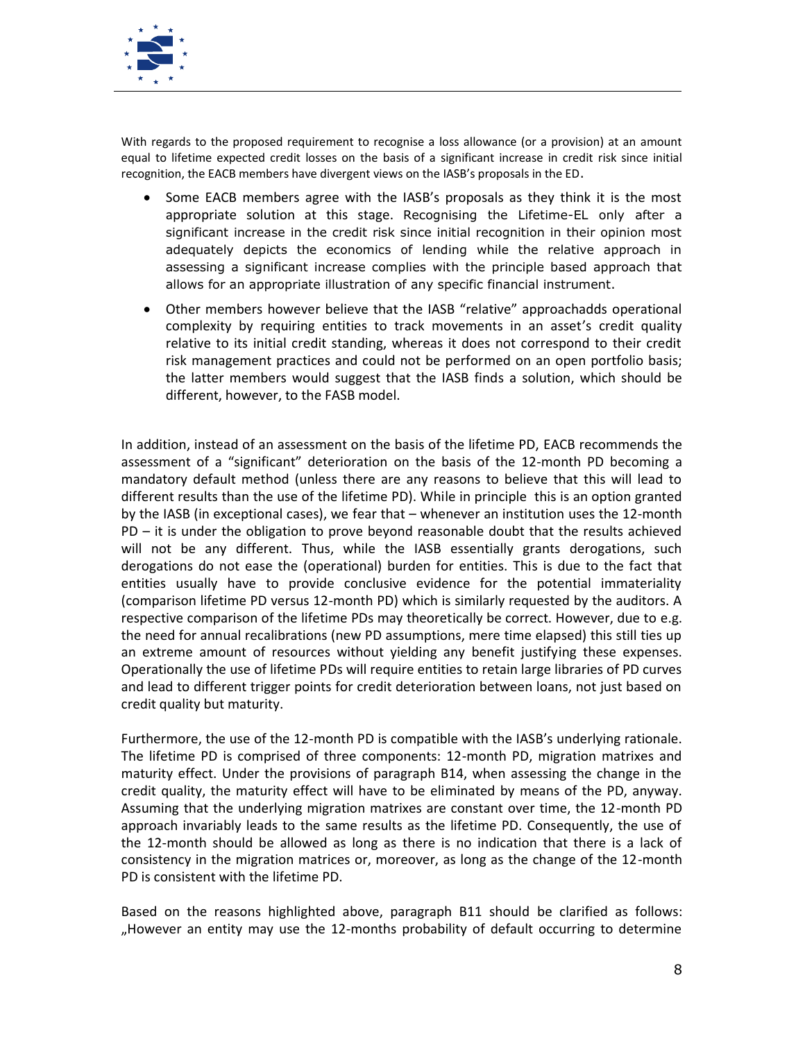

With regards to the proposed requirement to recognise a loss allowance (or a provision) at an amount equal to lifetime expected credit losses on the basis of a significant increase in credit risk since initial recognition, the EACB members have divergent views on the IASB's proposals in the ED.

- Some EACB members agree with the IASB's proposals as they think it is the most appropriate solution at this stage. Recognising the Lifetime-EL only after a significant increase in the credit risk since initial recognition in their opinion most adequately depicts the economics of lending while the relative approach in assessing a significant increase complies with the principle based approach that allows for an appropriate illustration of any specific financial instrument.
- Other members however believe that the IASB "relative" approachadds operational complexity by requiring entities to track movements in an asset's credit quality relative to its initial credit standing, whereas it does not correspond to their credit risk management practices and could not be performed on an open portfolio basis; the latter members would suggest that the IASB finds a solution, which should be different, however, to the FASB model.

In addition, instead of an assessment on the basis of the lifetime PD, EACB recommends the assessment of a "significant" deterioration on the basis of the 12-month PD becoming a mandatory default method (unless there are any reasons to believe that this will lead to different results than the use of the lifetime PD). While in principle this is an option granted by the IASB (in exceptional cases), we fear that – whenever an institution uses the 12-month PD – it is under the obligation to prove beyond reasonable doubt that the results achieved will not be any different. Thus, while the IASB essentially grants derogations, such derogations do not ease the (operational) burden for entities. This is due to the fact that entities usually have to provide conclusive evidence for the potential immateriality (comparison lifetime PD versus 12-month PD) which is similarly requested by the auditors. A respective comparison of the lifetime PDs may theoretically be correct. However, due to e.g. the need for annual recalibrations (new PD assumptions, mere time elapsed) this still ties up an extreme amount of resources without yielding any benefit justifying these expenses. Operationally the use of lifetime PDs will require entities to retain large libraries of PD curves and lead to different trigger points for credit deterioration between loans, not just based on credit quality but maturity.

Furthermore, the use of the 12-month PD is compatible with the IASB's underlying rationale. The lifetime PD is comprised of three components: 12-month PD, migration matrixes and maturity effect. Under the provisions of paragraph B14, when assessing the change in the credit quality, the maturity effect will have to be eliminated by means of the PD, anyway. Assuming that the underlying migration matrixes are constant over time, the 12-month PD approach invariably leads to the same results as the lifetime PD. Consequently, the use of the 12-month should be allowed as long as there is no indication that there is a lack of consistency in the migration matrices or, moreover, as long as the change of the 12-month PD is consistent with the lifetime PD.

Based on the reasons highlighted above, paragraph B11 should be clarified as follows: "However an entity may use the 12-months probability of default occurring to determine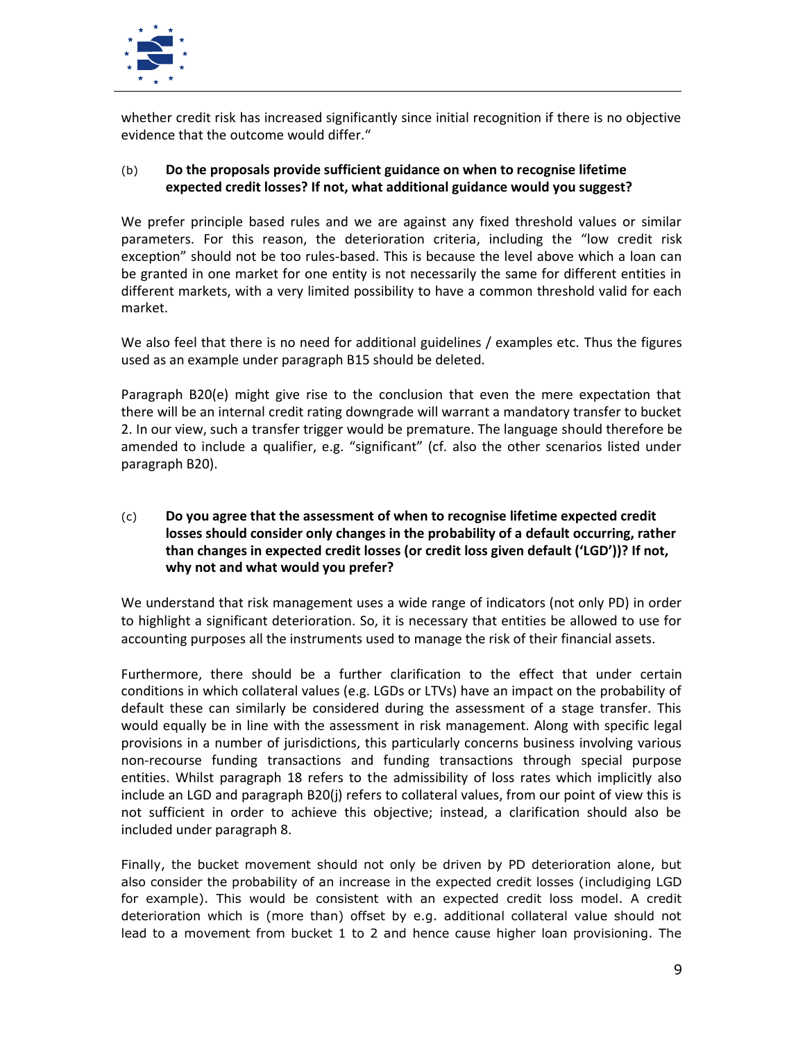

whether credit risk has increased significantly since initial recognition if there is no objective evidence that the outcome would differ."

## (b) **Do the proposals provide sufficient guidance on when to recognise lifetime expected credit losses? If not, what additional guidance would you suggest?**

We prefer principle based rules and we are against any fixed threshold values or similar parameters. For this reason, the deterioration criteria, including the "low credit risk exception" should not be too rules-based. This is because the level above which a loan can be granted in one market for one entity is not necessarily the same for different entities in different markets, with a very limited possibility to have a common threshold valid for each market.

We also feel that there is no need for additional guidelines / examples etc. Thus the figures used as an example under paragraph B15 should be deleted.

Paragraph B20(e) might give rise to the conclusion that even the mere expectation that there will be an internal credit rating downgrade will warrant a mandatory transfer to bucket 2. In our view, such a transfer trigger would be premature. The language should therefore be amended to include a qualifier, e.g. "significant" (cf. also the other scenarios listed under paragraph B20).

## (c) **Do you agree that the assessment of when to recognise lifetime expected credit losses should consider only changes in the probability of a default occurring, rather than changes in expected credit losses (or credit loss given default ('LGD'))? If not, why not and what would you prefer?**

We understand that risk management uses a wide range of indicators (not only PD) in order to highlight a significant deterioration. So, it is necessary that entities be allowed to use for accounting purposes all the instruments used to manage the risk of their financial assets.

Furthermore, there should be a further clarification to the effect that under certain conditions in which collateral values (e.g. LGDs or LTVs) have an impact on the probability of default these can similarly be considered during the assessment of a stage transfer. This would equally be in line with the assessment in risk management. Along with specific legal provisions in a number of jurisdictions, this particularly concerns business involving various non-recourse funding transactions and funding transactions through special purpose entities. Whilst paragraph 18 refers to the admissibility of loss rates which implicitly also include an LGD and paragraph B20(j) refers to collateral values, from our point of view this is not sufficient in order to achieve this objective; instead, a clarification should also be included under paragraph 8.

Finally, the bucket movement should not only be driven by PD deterioration alone, but also consider the probability of an increase in the expected credit losses (includiging LGD for example). This would be consistent with an expected credit loss model. A credit deterioration which is (more than) offset by e.g. additional collateral value should not lead to a movement from bucket 1 to 2 and hence cause higher loan provisioning. The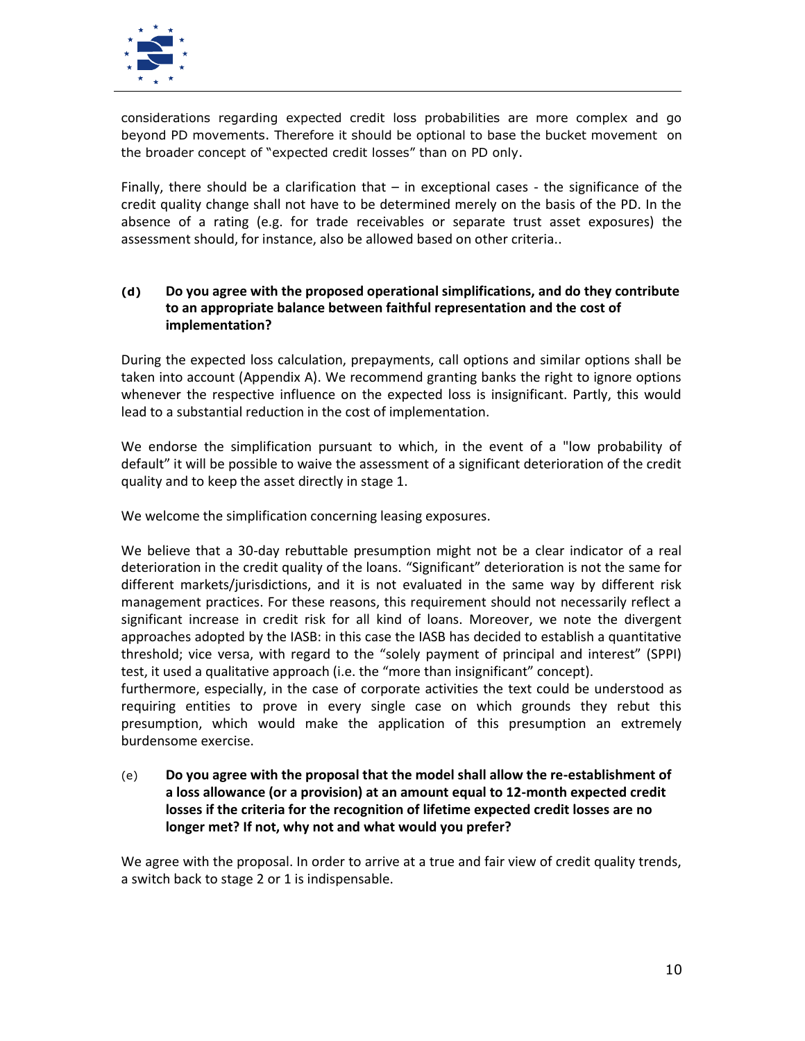

considerations regarding expected credit loss probabilities are more complex and go beyond PD movements. Therefore it should be optional to base the bucket movement on the broader concept of "expected credit losses" than on PD only.

Finally, there should be a clarification that  $-$  in exceptional cases  $-$  the significance of the credit quality change shall not have to be determined merely on the basis of the PD. In the absence of a rating (e.g. for trade receivables or separate trust asset exposures) the assessment should, for instance, also be allowed based on other criteria..

## **(d) Do you agree with the proposed operational simplifications, and do they contribute to an appropriate balance between faithful representation and the cost of implementation?**

During the expected loss calculation, prepayments, call options and similar options shall be taken into account (Appendix A). We recommend granting banks the right to ignore options whenever the respective influence on the expected loss is insignificant. Partly, this would lead to a substantial reduction in the cost of implementation.

We endorse the simplification pursuant to which, in the event of a "low probability of default" it will be possible to waive the assessment of a significant deterioration of the credit quality and to keep the asset directly in stage 1.

We welcome the simplification concerning leasing exposures.

We believe that a 30-day rebuttable presumption might not be a clear indicator of a real deterioration in the credit quality of the loans. "Significant" deterioration is not the same for different markets/jurisdictions, and it is not evaluated in the same way by different risk management practices. For these reasons, this requirement should not necessarily reflect a significant increase in credit risk for all kind of loans. Moreover, we note the divergent approaches adopted by the IASB: in this case the IASB has decided to establish a quantitative threshold; vice versa, with regard to the "solely payment of principal and interest" (SPPI) test, it used a qualitative approach (i.e. the "more than insignificant" concept).

furthermore, especially, in the case of corporate activities the text could be understood as requiring entities to prove in every single case on which grounds they rebut this presumption, which would make the application of this presumption an extremely burdensome exercise.

## (e) **Do you agree with the proposal that the model shall allow the re-establishment of a loss allowance (or a provision) at an amount equal to 12-month expected credit losses if the criteria for the recognition of lifetime expected credit losses are no longer met? If not, why not and what would you prefer?**

We agree with the proposal. In order to arrive at a true and fair view of credit quality trends, a switch back to stage 2 or 1 is indispensable.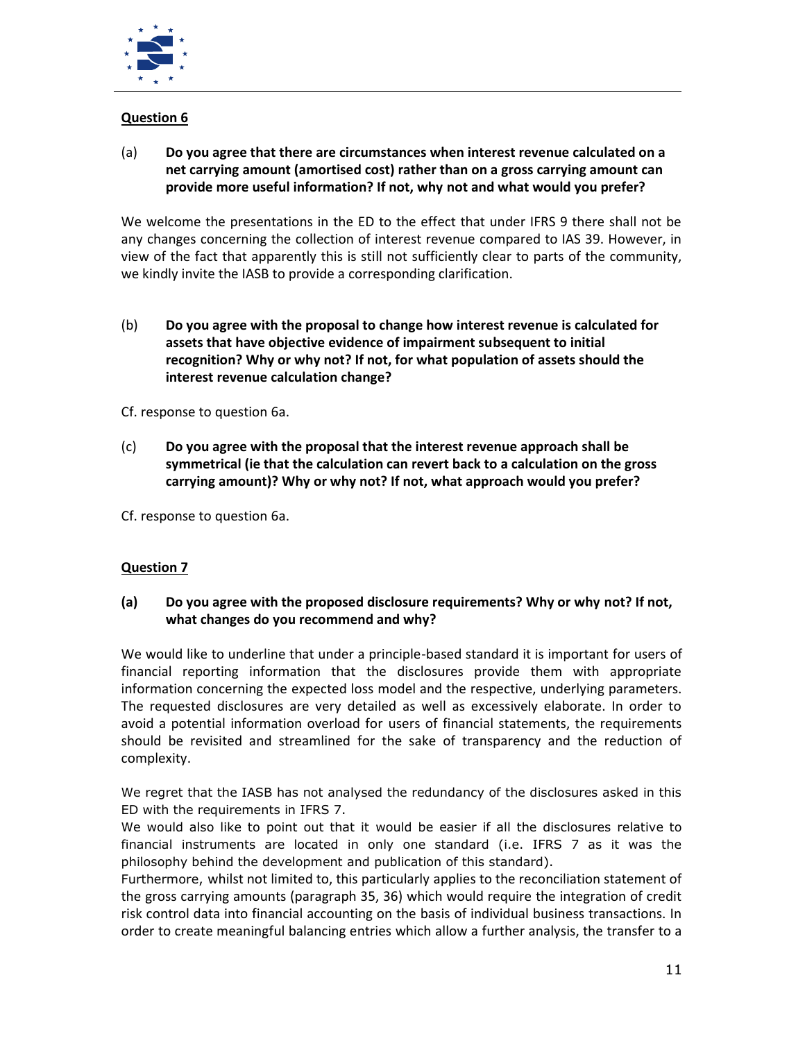

# **Question 6**

(a) **Do you agree that there are circumstances when interest revenue calculated on a net carrying amount (amortised cost) rather than on a gross carrying amount can provide more useful information? If not, why not and what would you prefer?**

We welcome the presentations in the ED to the effect that under IFRS 9 there shall not be any changes concerning the collection of interest revenue compared to IAS 39. However, in view of the fact that apparently this is still not sufficiently clear to parts of the community, we kindly invite the IASB to provide a corresponding clarification.

(b) **Do you agree with the proposal to change how interest revenue is calculated for assets that have objective evidence of impairment subsequent to initial recognition? Why or why not? If not, for what population of assets should the interest revenue calculation change?**

Cf. response to question 6a.

(c) **Do you agree with the proposal that the interest revenue approach shall be symmetrical (ie that the calculation can revert back to a calculation on the gross carrying amount)? Why or why not? If not, what approach would you prefer?**

Cf. response to question 6a.

# **Question 7**

## **(a) Do you agree with the proposed disclosure requirements? Why or why not? If not, what changes do you recommend and why?**

We would like to underline that under a principle-based standard it is important for users of financial reporting information that the disclosures provide them with appropriate information concerning the expected loss model and the respective, underlying parameters. The requested disclosures are very detailed as well as excessively elaborate. In order to avoid a potential information overload for users of financial statements, the requirements should be revisited and streamlined for the sake of transparency and the reduction of complexity.

We regret that the IASB has not analysed the redundancy of the disclosures asked in this ED with the requirements in IFRS 7.

We would also like to point out that it would be easier if all the disclosures relative to financial instruments are located in only one standard (i.e. IFRS 7 as it was the philosophy behind the development and publication of this standard).

Furthermore, whilst not limited to, this particularly applies to the reconciliation statement of the gross carrying amounts (paragraph 35, 36) which would require the integration of credit risk control data into financial accounting on the basis of individual business transactions. In order to create meaningful balancing entries which allow a further analysis, the transfer to a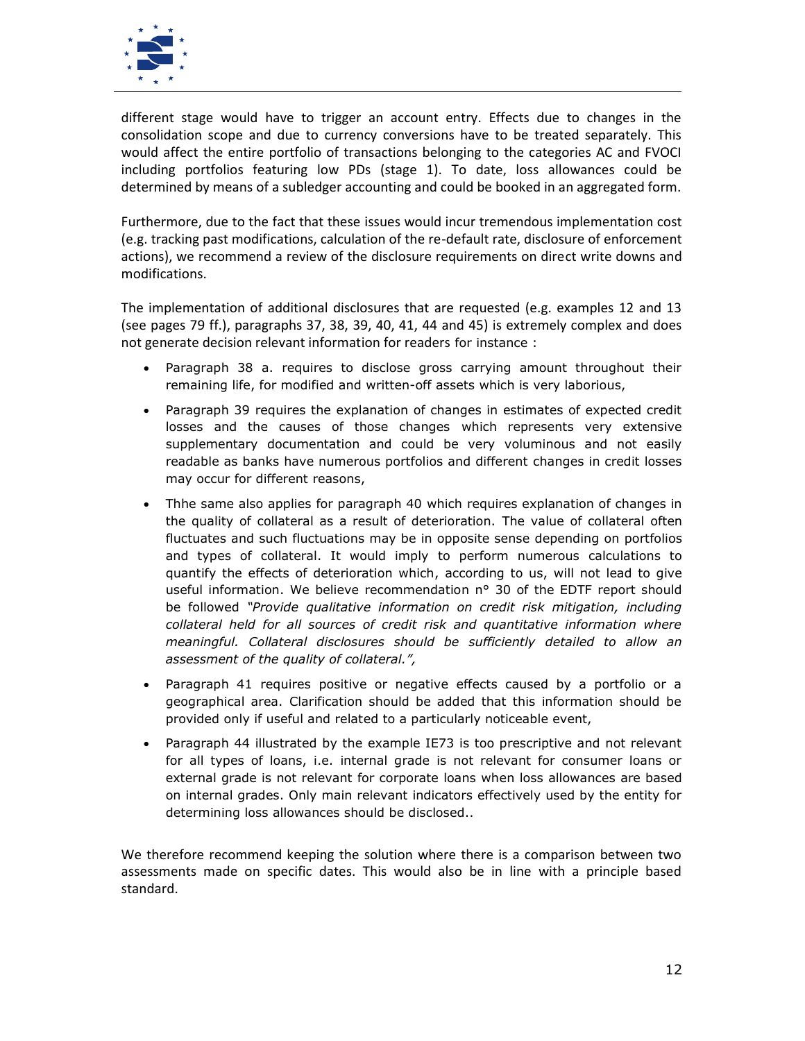

different stage would have to trigger an account entry. Effects due to changes in the consolidation scope and due to currency conversions have to be treated separately. This would affect the entire portfolio of transactions belonging to the categories AC and FVOCI including portfolios featuring low PDs (stage 1). To date, loss allowances could be determined by means of a subledger accounting and could be booked in an aggregated form.

Furthermore, due to the fact that these issues would incur tremendous implementation cost (e.g. tracking past modifications, calculation of the re-default rate, disclosure of enforcement actions), we recommend a review of the disclosure requirements on direct write downs and modifications.

The implementation of additional disclosures that are requested (e.g. examples 12 and 13 (see pages 79 ff.), paragraphs 37, 38, 39, 40, 41, 44 and 45) is extremely complex and does not generate decision relevant information for readers for instance :

- Paragraph 38 a. requires to disclose gross carrying amount throughout their remaining life, for modified and written-off assets which is very laborious,
- Paragraph 39 requires the explanation of changes in estimates of expected credit losses and the causes of those changes which represents very extensive supplementary documentation and could be very voluminous and not easily readable as banks have numerous portfolios and different changes in credit losses may occur for different reasons,
- Thhe same also applies for paragraph 40 which requires explanation of changes in the quality of collateral as a result of deterioration. The value of collateral often fluctuates and such fluctuations may be in opposite sense depending on portfolios and types of collateral. It would imply to perform numerous calculations to quantify the effects of deterioration which, according to us, will not lead to give useful information. We believe recommendation n° 30 of the EDTF report should be followed *"Provide qualitative information on credit risk mitigation, including collateral held for all sources of credit risk and quantitative information where meaningful. Collateral disclosures should be sufficiently detailed to allow an assessment of the quality of collateral.",*
- Paragraph 41 requires positive or negative effects caused by a portfolio or a geographical area. Clarification should be added that this information should be provided only if useful and related to a particularly noticeable event,
- Paragraph 44 illustrated by the example IE73 is too prescriptive and not relevant for all types of loans, i.e. internal grade is not relevant for consumer loans or external grade is not relevant for corporate loans when loss allowances are based on internal grades. Only main relevant indicators effectively used by the entity for determining loss allowances should be disclosed..

We therefore recommend keeping the solution where there is a comparison between two assessments made on specific dates. This would also be in line with a principle based standard.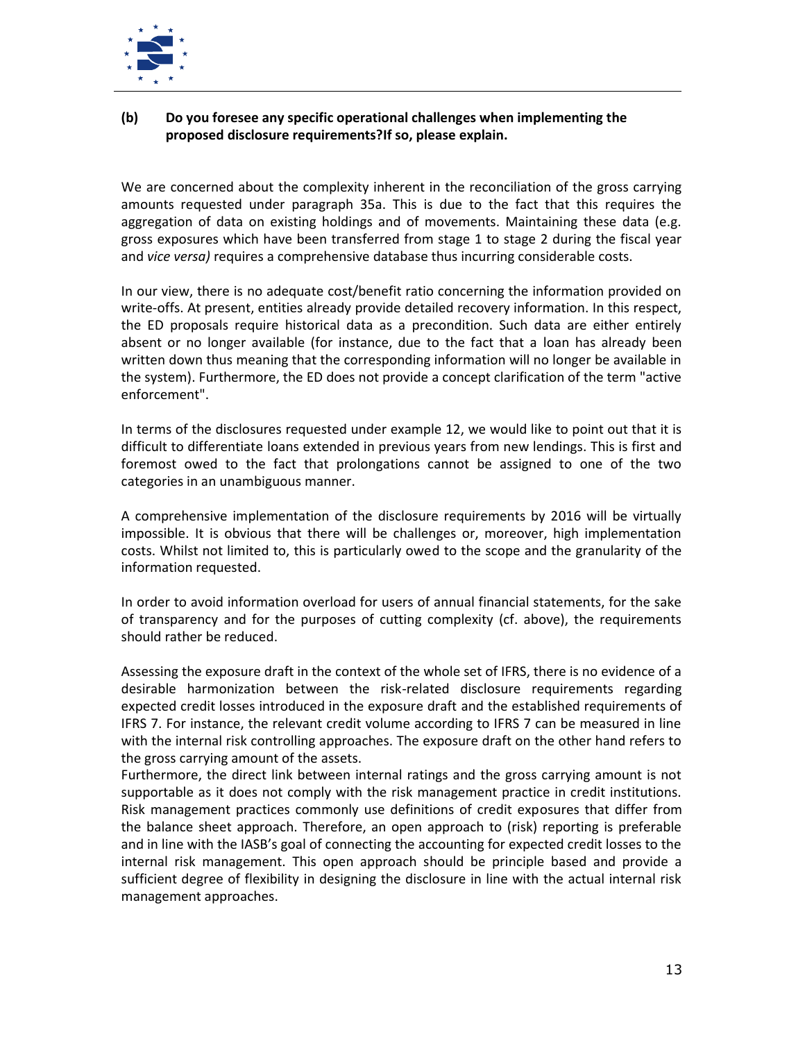

## **(b) Do you foresee any specific operational challenges when implementing the proposed disclosure requirements?If so, please explain.**

We are concerned about the complexity inherent in the reconciliation of the gross carrying amounts requested under paragraph 35a. This is due to the fact that this requires the aggregation of data on existing holdings and of movements. Maintaining these data (e.g. gross exposures which have been transferred from stage 1 to stage 2 during the fiscal year and *vice versa)* requires a comprehensive database thus incurring considerable costs.

In our view, there is no adequate cost/benefit ratio concerning the information provided on write-offs. At present, entities already provide detailed recovery information. In this respect, the ED proposals require historical data as a precondition. Such data are either entirely absent or no longer available (for instance, due to the fact that a loan has already been written down thus meaning that the corresponding information will no longer be available in the system). Furthermore, the ED does not provide a concept clarification of the term "active enforcement".

In terms of the disclosures requested under example 12, we would like to point out that it is difficult to differentiate loans extended in previous years from new lendings. This is first and foremost owed to the fact that prolongations cannot be assigned to one of the two categories in an unambiguous manner.

A comprehensive implementation of the disclosure requirements by 2016 will be virtually impossible. It is obvious that there will be challenges or, moreover, high implementation costs. Whilst not limited to, this is particularly owed to the scope and the granularity of the information requested.

In order to avoid information overload for users of annual financial statements, for the sake of transparency and for the purposes of cutting complexity (cf. above), the requirements should rather be reduced.

Assessing the exposure draft in the context of the whole set of IFRS, there is no evidence of a desirable harmonization between the risk-related disclosure requirements regarding expected credit losses introduced in the exposure draft and the established requirements of IFRS 7. For instance, the relevant credit volume according to IFRS 7 can be measured in line with the internal risk controlling approaches. The exposure draft on the other hand refers to the gross carrying amount of the assets.

Furthermore, the direct link between internal ratings and the gross carrying amount is not supportable as it does not comply with the risk management practice in credit institutions. Risk management practices commonly use definitions of credit exposures that differ from the balance sheet approach. Therefore, an open approach to (risk) reporting is preferable and in line with the IASB's goal of connecting the accounting for expected credit losses to the internal risk management. This open approach should be principle based and provide a sufficient degree of flexibility in designing the disclosure in line with the actual internal risk management approaches.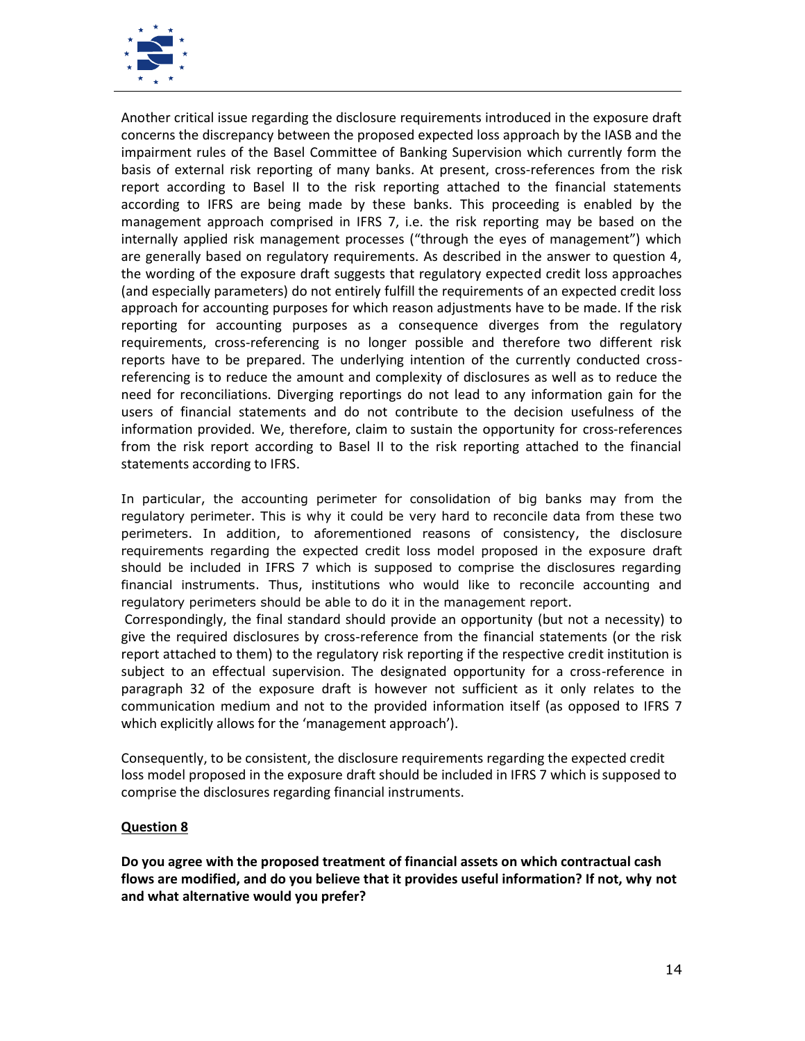

Another critical issue regarding the disclosure requirements introduced in the exposure draft concerns the discrepancy between the proposed expected loss approach by the IASB and the impairment rules of the Basel Committee of Banking Supervision which currently form the basis of external risk reporting of many banks. At present, cross-references from the risk report according to Basel II to the risk reporting attached to the financial statements according to IFRS are being made by these banks. This proceeding is enabled by the management approach comprised in IFRS 7, i.e. the risk reporting may be based on the internally applied risk management processes ("through the eyes of management") which are generally based on regulatory requirements. As described in the answer to question 4, the wording of the exposure draft suggests that regulatory expected credit loss approaches (and especially parameters) do not entirely fulfill the requirements of an expected credit loss approach for accounting purposes for which reason adjustments have to be made. If the risk reporting for accounting purposes as a consequence diverges from the regulatory requirements, cross-referencing is no longer possible and therefore two different risk reports have to be prepared. The underlying intention of the currently conducted cross referencing is to reduce the amount and complexity of disclosures as well as to reduce the need for reconciliations. Diverging reportings do not lead to any information gain for the users of financial statements and do not contribute to the decision usefulness of the information provided. We, therefore, claim to sustain the opportunity for cross-references from the risk report according to Basel II to the risk reporting attached to the financial statements according to IFRS.

In particular, the accounting perimeter for consolidation of big banks may from the regulatory perimeter. This is why it could be very hard to reconcile data from these two perimeters. In addition, to aforementioned reasons of consistency, the disclosure requirements regarding the expected credit loss model proposed in the exposure draft should be included in IFRS 7 which is supposed to comprise the disclosures regarding financial instruments. Thus, institutions who would like to reconcile accounting and regulatory perimeters should be able to do it in the management report.

Correspondingly, the final standard should provide an opportunity (but not a necessity) to give the required disclosures by cross-reference from the financial statements (or the risk report attached to them) to the regulatory risk reporting if the respective credit institution is subject to an effectual supervision. The designated opportunity for a cross-reference in paragraph 32 of the exposure draft is however not sufficient as it only relates to the communication medium and not to the provided information itself (as opposed to IFRS 7 which explicitly allows for the 'management approach').

Consequently, to be consistent, the disclosure requirements regarding the expected credit loss model proposed in the exposure draft should be included in IFRS 7 which is supposed to comprise the disclosures regarding financial instruments.

## **Question 8**

**Do you agree with the proposed treatment of financial assets on which contractual cash flows are modified, and do you believe that it provides useful information? If not, why not and what alternative would you prefer?**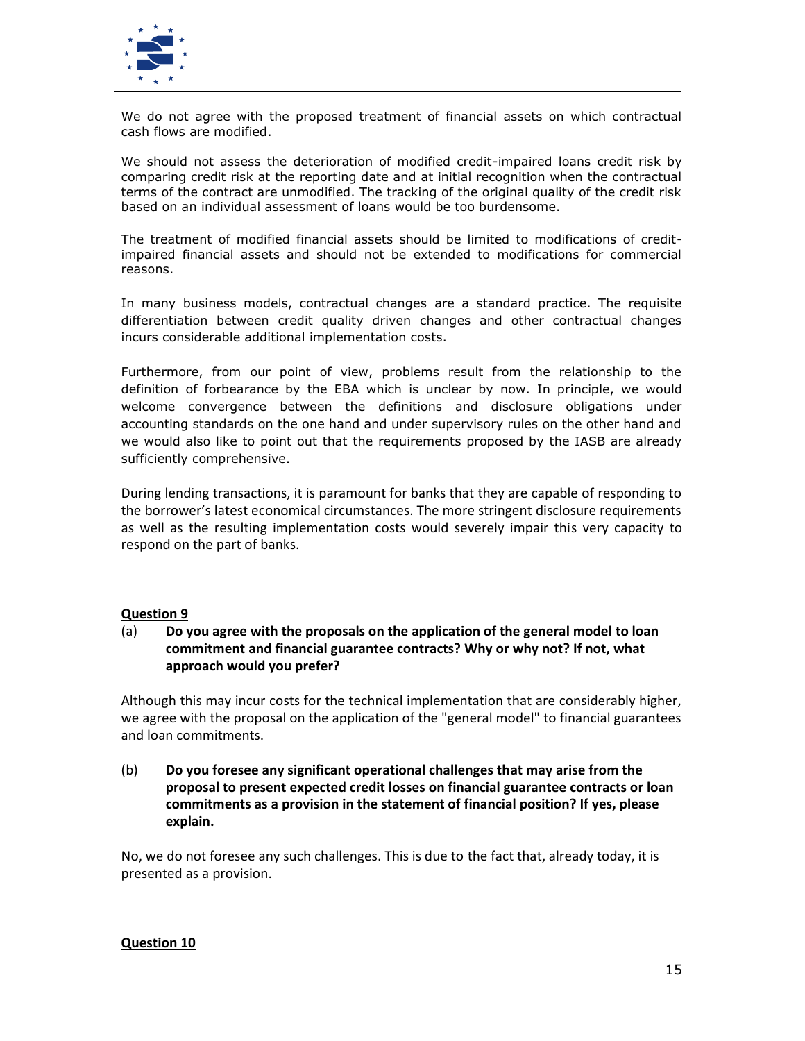

We do not agree with the proposed treatment of financial assets on which contractual cash flows are modified.

We should not assess the deterioration of modified credit-impaired loans credit risk by comparing credit risk at the reporting date and at initial recognition when the contractual terms of the contract are unmodified. The tracking of the original quality of the credit risk based on an individual assessment of loans would be too burdensome.

The treatment of modified financial assets should be limited to modifications of creditimpaired financial assets and should not be extended to modifications for commercial reasons.

In many business models, contractual changes are a standard practice. The requisite differentiation between credit quality driven changes and other contractual changes incurs considerable additional implementation costs.

Furthermore, from our point of view, problems result from the relationship to the definition of forbearance by the EBA which is unclear by now. In principle, we would welcome convergence between the definitions and disclosure obligations under accounting standards on the one hand and under supervisory rules on the other hand and we would also like to point out that the requirements proposed by the IASB are already sufficiently comprehensive.

During lending transactions, it is paramount for banks that they are capable of responding to the borrower's latest economical circumstances. The more stringent disclosure requirements as well as the resulting implementation costs would severely impair this very capacity to respond on the part of banks.

## **Question 9**

## (a) **Do you agree with the proposals on the application of the general model to loan commitment and financial guarantee contracts? Why or why not? If not, what approach would you prefer?**

Although this may incur costs for the technical implementation that are considerably higher, we agree with the proposal on the application of the "general model" to financial guarantees and loan commitments.

(b) **Do you foresee any significant operational challenges that may arise from the proposal to present expected credit losses on financial guarantee contracts or loan commitments as a provision in the statement of financial position? If yes, please explain.**

No, we do not foresee any such challenges. This is due to the fact that, already today, it is presented as a provision.

#### **Question 10**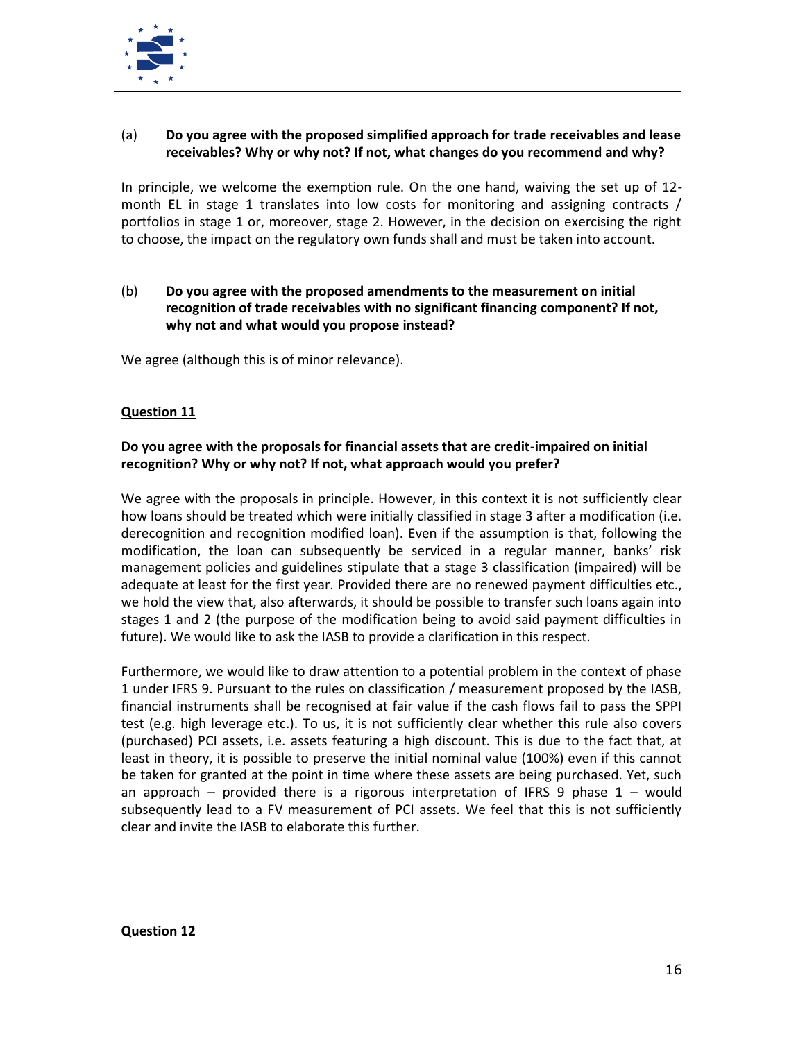

# (a) **Do you agree with the proposed simplified approach for trade receivables and lease receivables? Why or why not? If not, what changes do you recommend and why?**

In principle, we welcome the exemption rule. On the one hand, waiving the set up of 12 month EL in stage 1 translates into low costs for monitoring and assigning contracts / portfolios in stage 1 or, moreover, stage 2. However, in the decision on exercising the right to choose, the impact on the regulatory own funds shall and must be taken into account.

## (b) **Do you agree with the proposed amendments to the measurement on initial recognition of trade receivables with no significant financing component? If not, why not and what would you propose instead?**

We agree (although this is of minor relevance).

## **Question 11**

# **Do you agree with the proposals for financial assets that are credit-impaired on initial recognition? Why or why not? If not, what approach would you prefer?**

We agree with the proposals in principle. However, in this context it is not sufficiently clear how loans should be treated which were initially classified in stage 3 after a modification (i.e. derecognition and recognition modified loan). Even if the assumption is that, following the modification, the loan can subsequently be serviced in a regular manner, banks' risk management policies and guidelines stipulate that a stage 3 classification (impaired) will be adequate at least for the first year. Provided there are no renewed payment difficulties etc., we hold the view that, also afterwards, it should be possible to transfer such loans again into stages 1 and 2 (the purpose of the modification being to avoid said payment difficulties in future). We would like to ask the IASB to provide a clarification in this respect.

Furthermore, we would like to draw attention to a potential problem in the context of phase 1 under IFRS 9. Pursuant to the rules on classification / measurement proposed by the IASB, financial instruments shall be recognised at fair value if the cash flows fail to pass the SPPI test (e.g. high leverage etc.). To us, it is not sufficiently clear whether this rule also covers (purchased) PCI assets, i.e. assets featuring a high discount. This is due to the fact that, at least in theory, it is possible to preserve the initial nominal value (100%) even if this cannot be taken for granted at the point in time where these assets are being purchased. Yet, such an approach – provided there is a rigorous interpretation of IFRS 9 phase  $1$  – would subsequently lead to a FV measurement of PCI assets. We feel that this is not sufficiently clear and invite the IASB to elaborate this further.

## **Question 12**